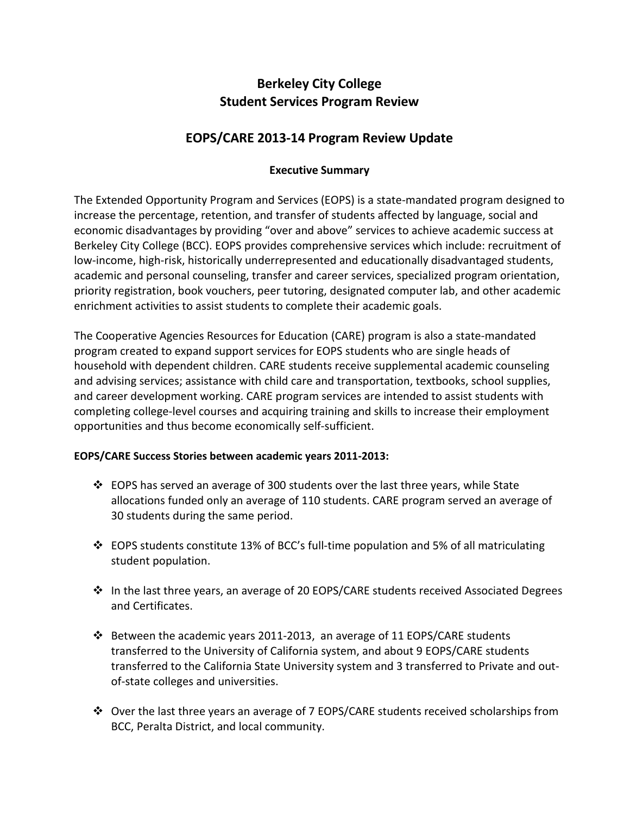# **Berkeley City College Student Services Program Review**

# **EOPS/CARE 2013-14 Program Review Update**

## **Executive Summary**

The Extended Opportunity Program and Services (EOPS) is a state-mandated program designed to increase the percentage, retention, and transfer of students affected by language, social and economic disadvantages by providing "over and above" services to achieve academic success at Berkeley City College (BCC). EOPS provides comprehensive services which include: recruitment of low-income, high-risk, historically underrepresented and educationally disadvantaged students, academic and personal counseling, transfer and career services, specialized program orientation, priority registration, book vouchers, peer tutoring, designated computer lab, and other academic enrichment activities to assist students to complete their academic goals.

The Cooperative Agencies Resources for Education (CARE) program is also a state-mandated program created to expand support services for EOPS students who are single heads of household with dependent children. CARE students receive supplemental academic counseling and advising services; assistance with child care and transportation, textbooks, school supplies, and career development working. CARE program services are intended to assist students with completing college-level courses and acquiring training and skills to increase their employment opportunities and thus become economically self-sufficient.

## **EOPS/CARE Success Stories between academic years 2011-2013:**

- $\clubsuit$  EOPS has served an average of 300 students over the last three years, while State allocations funded only an average of 110 students. CARE program served an average of 30 students during the same period.
- $\cdot$  EOPS students constitute 13% of BCC's full-time population and 5% of all matriculating student population.
- $\cdot \cdot$  In the last three years, an average of 20 EOPS/CARE students received Associated Degrees and Certificates.
- $\div$  Between the academic years 2011-2013, an average of 11 EOPS/CARE students transferred to the University of California system, and about 9 EOPS/CARE students transferred to the California State University system and 3 transferred to Private and outof-state colleges and universities.
- Over the last three years an average of 7 EOPS/CARE students received scholarships from BCC, Peralta District, and local community.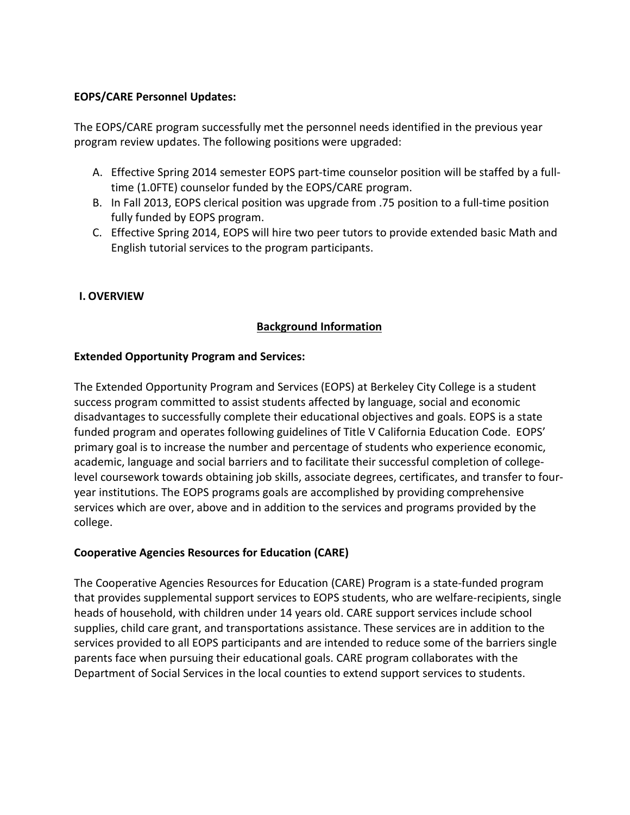### **EOPS/CARE Personnel Updates:**

The EOPS/CARE program successfully met the personnel needs identified in the previous year program review updates. The following positions were upgraded:

- A. Effective Spring 2014 semester EOPS part-time counselor position will be staffed by a fulltime (1.0FTE) counselor funded by the EOPS/CARE program.
- B. In Fall 2013, EOPS clerical position was upgrade from .75 position to a full-time position fully funded by EOPS program.
- C. Effective Spring 2014, EOPS will hire two peer tutors to provide extended basic Math and English tutorial services to the program participants.

## **I. OVERVIEW**

## **Background Information**

### **Extended Opportunity Program and Services:**

The Extended Opportunity Program and Services (EOPS) at Berkeley City College is a student success program committed to assist students affected by language, social and economic disadvantages to successfully complete their educational objectives and goals. EOPS is a state funded program and operates following guidelines of Title V California Education Code. EOPS' primary goal is to increase the number and percentage of students who experience economic, academic, language and social barriers and to facilitate their successful completion of collegelevel coursework towards obtaining job skills, associate degrees, certificates, and transfer to fouryear institutions. The EOPS programs goals are accomplished by providing comprehensive services which are over, above and in addition to the services and programs provided by the college.

## **Cooperative Agencies Resources for Education (CARE)**

The Cooperative Agencies Resources for Education (CARE) Program is a state-funded program that provides supplemental support services to EOPS students, who are welfare-recipients, single heads of household, with children under 14 years old. CARE support services include school supplies, child care grant, and transportations assistance. These services are in addition to the services provided to all EOPS participants and are intended to reduce some of the barriers single parents face when pursuing their educational goals. CARE program collaborates with the Department of Social Services in the local counties to extend support services to students.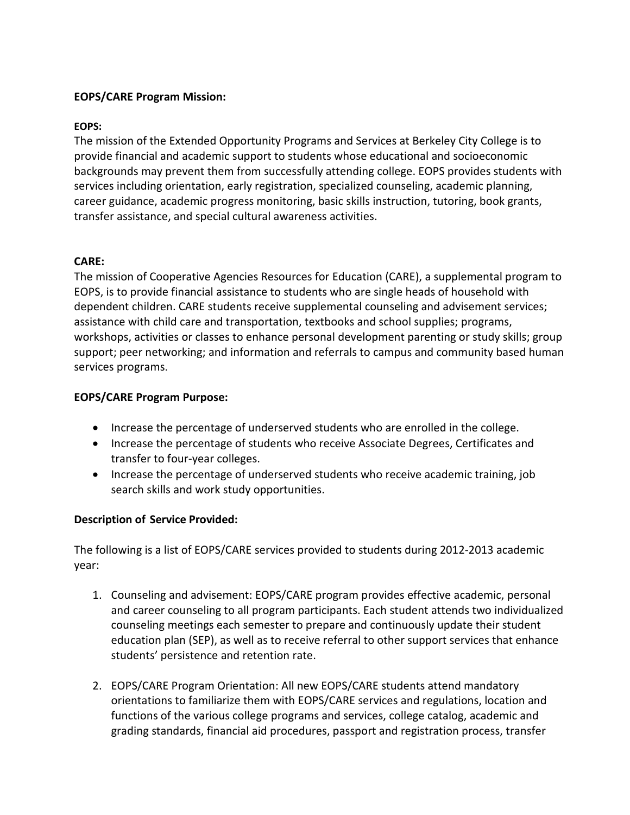### **EOPS/CARE Program Mission:**

#### **EOPS:**

The mission of the Extended Opportunity Programs and Services at Berkeley City College is to provide financial and academic support to students whose educational and socioeconomic backgrounds may prevent them from successfully attending college. EOPS provides students with services including orientation, early registration, specialized counseling, academic planning, career guidance, academic progress monitoring, basic skills instruction, tutoring, book grants, transfer assistance, and special cultural awareness activities.

### **CARE:**

The mission of Cooperative Agencies Resources for Education (CARE), a supplemental program to EOPS, is to provide financial assistance to students who are single heads of household with dependent children. CARE students receive supplemental counseling and advisement services; assistance with child care and transportation, textbooks and school supplies; programs, workshops, activities or classes to enhance personal development parenting or study skills; group support; peer networking; and information and referrals to campus and community based human services programs.

### **EOPS/CARE Program Purpose:**

- Increase the percentage of underserved students who are enrolled in the college.
- Increase the percentage of students who receive Associate Degrees, Certificates and transfer to four-year colleges.
- Increase the percentage of underserved students who receive academic training, job search skills and work study opportunities.

## **Description of Service Provided:**

The following is a list of EOPS/CARE services provided to students during 2012-2013 academic year:

- 1. Counseling and advisement: EOPS/CARE program provides effective academic, personal and career counseling to all program participants. Each student attends two individualized counseling meetings each semester to prepare and continuously update their student education plan (SEP), as well as to receive referral to other support services that enhance students' persistence and retention rate.
- 2. EOPS/CARE Program Orientation: All new EOPS/CARE students attend mandatory orientations to familiarize them with EOPS/CARE services and regulations, location and functions of the various college programs and services, college catalog, academic and grading standards, financial aid procedures, passport and registration process, transfer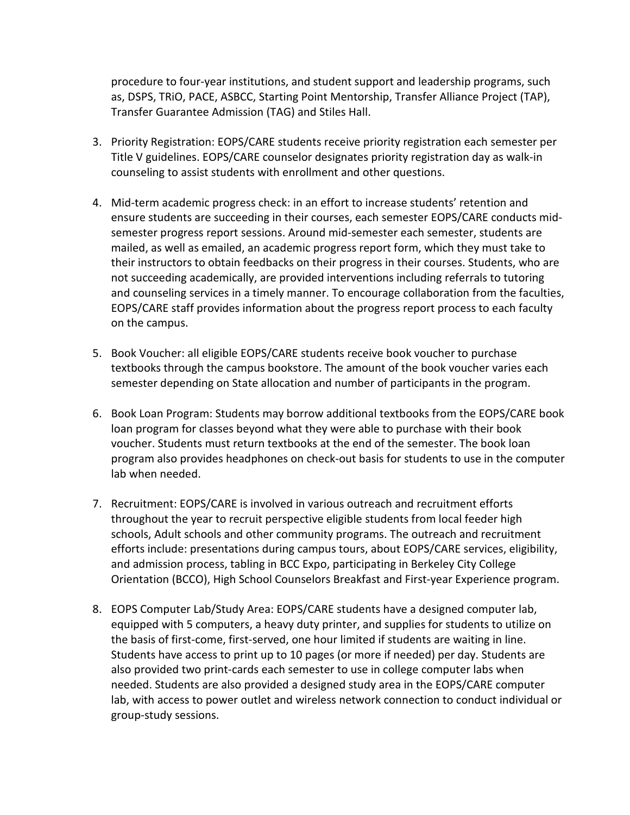procedure to four-year institutions, and student support and leadership programs, such as, DSPS, TRiO, PACE, ASBCC, Starting Point Mentorship, Transfer Alliance Project (TAP), Transfer Guarantee Admission (TAG) and Stiles Hall.

- 3. Priority Registration: EOPS/CARE students receive priority registration each semester per Title V guidelines. EOPS/CARE counselor designates priority registration day as walk-in counseling to assist students with enrollment and other questions.
- 4. Mid-term academic progress check: in an effort to increase students' retention and ensure students are succeeding in their courses, each semester EOPS/CARE conducts midsemester progress report sessions. Around mid-semester each semester, students are mailed, as well as emailed, an academic progress report form, which they must take to their instructors to obtain feedbacks on their progress in their courses. Students, who are not succeeding academically, are provided interventions including referrals to tutoring and counseling services in a timely manner. To encourage collaboration from the faculties, EOPS/CARE staff provides information about the progress report process to each faculty on the campus.
- 5. Book Voucher: all eligible EOPS/CARE students receive book voucher to purchase textbooks through the campus bookstore. The amount of the book voucher varies each semester depending on State allocation and number of participants in the program.
- 6. Book Loan Program: Students may borrow additional textbooks from the EOPS/CARE book loan program for classes beyond what they were able to purchase with their book voucher. Students must return textbooks at the end of the semester. The book loan program also provides headphones on check-out basis for students to use in the computer lab when needed.
- 7. Recruitment: EOPS/CARE is involved in various outreach and recruitment efforts throughout the year to recruit perspective eligible students from local feeder high schools, Adult schools and other community programs. The outreach and recruitment efforts include: presentations during campus tours, about EOPS/CARE services, eligibility, and admission process, tabling in BCC Expo, participating in Berkeley City College Orientation (BCCO), High School Counselors Breakfast and First-year Experience program.
- 8. EOPS Computer Lab/Study Area: EOPS/CARE students have a designed computer lab, equipped with 5 computers, a heavy duty printer, and supplies for students to utilize on the basis of first-come, first-served, one hour limited if students are waiting in line. Students have access to print up to 10 pages (or more if needed) per day. Students are also provided two print-cards each semester to use in college computer labs when needed. Students are also provided a designed study area in the EOPS/CARE computer lab, with access to power outlet and wireless network connection to conduct individual or group-study sessions.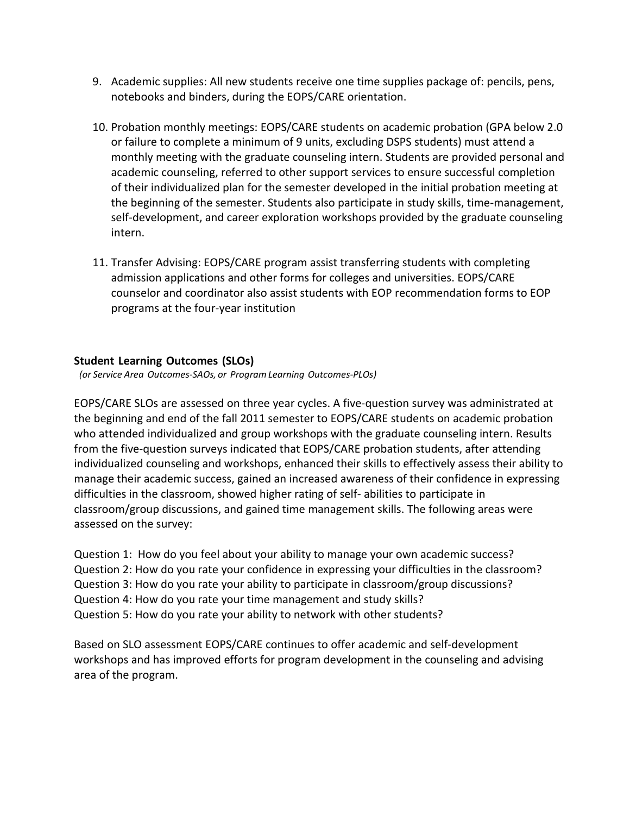- 9. Academic supplies: All new students receive one time supplies package of: pencils, pens, notebooks and binders, during the EOPS/CARE orientation.
- 10. Probation monthly meetings: EOPS/CARE students on academic probation (GPA below 2.0 or failure to complete a minimum of 9 units, excluding DSPS students) must attend a monthly meeting with the graduate counseling intern. Students are provided personal and academic counseling, referred to other support services to ensure successful completion of their individualized plan for the semester developed in the initial probation meeting at the beginning of the semester. Students also participate in study skills, time-management, self-development, and career exploration workshops provided by the graduate counseling intern.
- 11. Transfer Advising: EOPS/CARE program assist transferring students with completing admission applications and other forms for colleges and universities. EOPS/CARE counselor and coordinator also assist students with EOP recommendation forms to EOP programs at the four-year institution

## **Student Learning Outcomes (SLOs)**

*(or Service Area Outcomes-SAOs, or Program Learning Outcomes-PLOs)*

EOPS/CARE SLOs are assessed on three year cycles. A five-question survey was administrated at the beginning and end of the fall 2011 semester to EOPS/CARE students on academic probation who attended individualized and group workshops with the graduate counseling intern. Results from the five-question surveys indicated that EOPS/CARE probation students, after attending individualized counseling and workshops, enhanced their skills to effectively assess their ability to manage their academic success, gained an increased awareness of their confidence in expressing difficulties in the classroom, showed higher rating of self- abilities to participate in classroom/group discussions, and gained time management skills. The following areas were assessed on the survey:

Question 1: How do you feel about your ability to manage your own academic success? Question 2: How do you rate your confidence in expressing your difficulties in the classroom? Question 3: How do you rate your ability to participate in classroom/group discussions? Question 4: How do you rate your time management and study skills? Question 5: How do you rate your ability to network with other students?

Based on SLO assessment EOPS/CARE continues to offer academic and self-development workshops and has improved efforts for program development in the counseling and advising area of the program.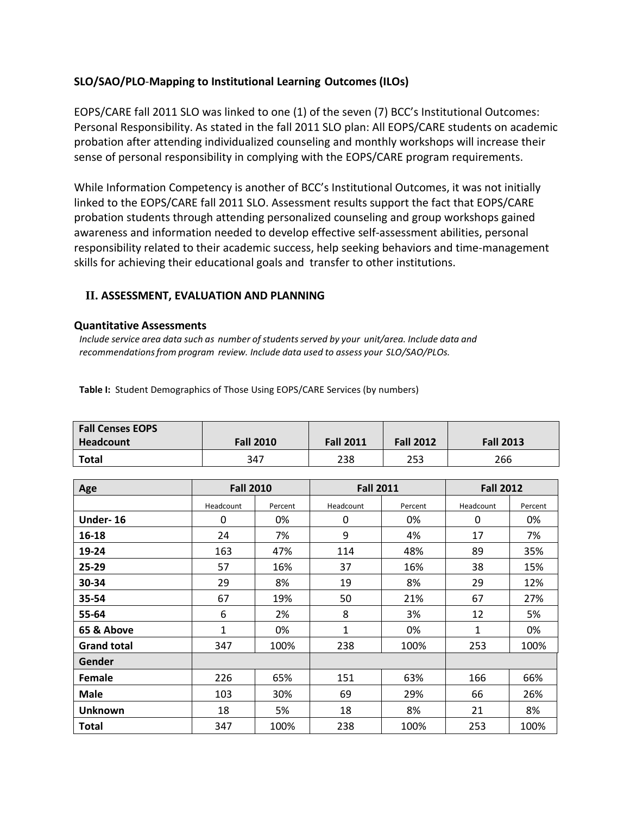## **SLO/SAO/PLO**-**Mapping to Institutional Learning Outcomes (ILOs)**

EOPS/CARE fall 2011 SLO was linked to one (1) of the seven (7) BCC's Institutional Outcomes: Personal Responsibility. As stated in the fall 2011 SLO plan: All EOPS/CARE students on academic probation after attending individualized counseling and monthly workshops will increase their sense of personal responsibility in complying with the EOPS/CARE program requirements.

While Information Competency is another of BCC's Institutional Outcomes, it was not initially linked to the EOPS/CARE fall 2011 SLO. Assessment results support the fact that EOPS/CARE probation students through attending personalized counseling and group workshops gained awareness and information needed to develop effective self-assessment abilities, personal responsibility related to their academic success, help seeking behaviors and time-management skills for achieving their educational goals and transfer to other institutions.

#### **II. ASSESSMENT, EVALUATION AND PLANNING**

#### **Quantitative Assessments**

*Include service area data such as number of studentsserved by your unit/area. Include data and recommendationsfrom program review. Include data used to assess your SLO/SAO/PLOs.*

| <b>Fall Censes EOPS</b> |                  |                  |                  |                  |
|-------------------------|------------------|------------------|------------------|------------------|
| Headcount               | <b>Fall 2010</b> | <b>Fall 2011</b> | <b>Fall 2012</b> | <b>Fall 2013</b> |

**Total** 347 238 253 266

**Table I:** Student Demographics of Those Using EOPS/CARE Services (by numbers)

| Age                | <b>Fall 2010</b> |         | <b>Fall 2011</b> |         | <b>Fall 2012</b> |         |
|--------------------|------------------|---------|------------------|---------|------------------|---------|
|                    | Headcount        | Percent | Headcount        | Percent | Headcount        | Percent |
| Under-16           | 0                | 0%      | 0                | 0%      | 0                | 0%      |
| 16-18              | 24               | 7%      | 9                | 4%      | 17               | 7%      |
| 19-24              | 163              | 47%     | 114              | 48%     | 89               | 35%     |
| 25-29              | 57               | 16%     | 37               | 16%     | 38               | 15%     |
| 30-34              | 29               | 8%      | 19               | 8%      | 29               | 12%     |
| 35-54              | 67               | 19%     | 50               | 21%     | 67               | 27%     |
| 55-64              | 6                | 2%      | 8                | 3%      | 12               | 5%      |
| 65 & Above         | 1                | 0%      | 1                | 0%      | 1                | 0%      |
| <b>Grand total</b> | 347              | 100%    | 238              | 100%    | 253              | 100%    |
| Gender             |                  |         |                  |         |                  |         |
| <b>Female</b>      | 226              | 65%     | 151              | 63%     | 166              | 66%     |
| <b>Male</b>        | 103              | 30%     | 69               | 29%     | 66               | 26%     |
| <b>Unknown</b>     | 18               | 5%      | 18               | 8%      | 21               | 8%      |
| Total              | 347              | 100%    | 238              | 100%    | 253              | 100%    |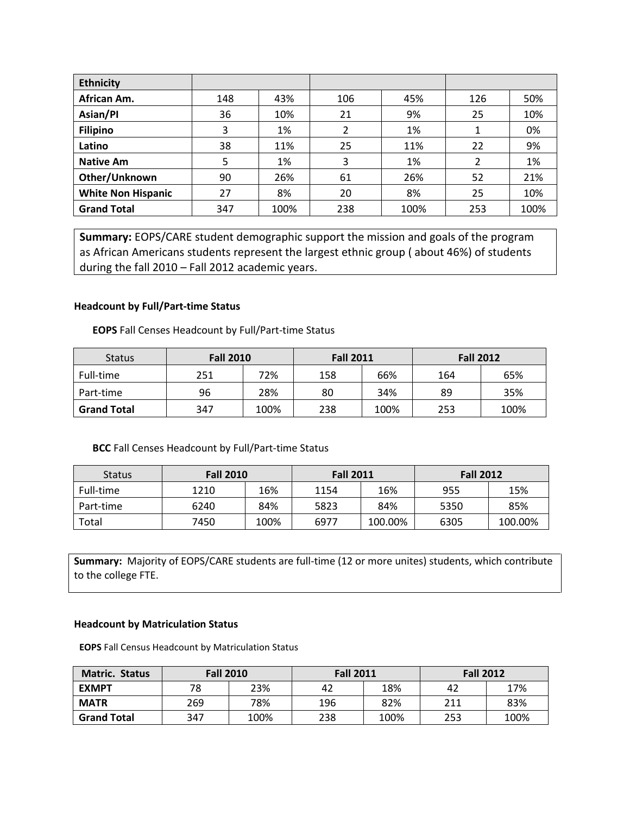| <b>Ethnicity</b>          |     |      |     |      |     |      |
|---------------------------|-----|------|-----|------|-----|------|
| African Am.               | 148 | 43%  | 106 | 45%  | 126 | 50%  |
| Asian/Pl                  | 36  | 10%  | 21  | 9%   | 25  | 10%  |
| <b>Filipino</b>           | 3   | 1%   | 2   | 1%   |     | 0%   |
| Latino                    | 38  | 11%  | 25  | 11%  | 22  | 9%   |
| <b>Native Am</b>          | 5   | 1%   | 3   | 1%   |     | 1%   |
| Other/Unknown             | 90  | 26%  | 61  | 26%  | 52  | 21%  |
| <b>White Non Hispanic</b> | 27  | 8%   | 20  | 8%   | 25  | 10%  |
| <b>Grand Total</b>        | 347 | 100% | 238 | 100% | 253 | 100% |

**Summary:** EOPS/CARE student demographic support the mission and goals of the program as African Americans students represent the largest ethnic group ( about 46%) of students during the fall 2010 – Fall 2012 academic years.

#### **Headcount by Full/Part-time Status**

**EOPS** Fall Censes Headcount by Full/Part-time Status

| <b>Status</b>      | <b>Fall 2010</b> |      | <b>Fall 2011</b> |      | <b>Fall 2012</b> |      |
|--------------------|------------------|------|------------------|------|------------------|------|
| Full-time          | 251              | 72%  | 158              | 66%  | 164              | 65%  |
| Part-time          | 96               | 28%  | 80               | 34%  | 89               | 35%  |
| <b>Grand Total</b> | 347              | 100% | 238              | 100% | 253              | 100% |

#### **BCC** Fall Censes Headcount by Full/Part-time Status

| <b>Status</b> | <b>Fall 2010</b> |      | <b>Fall 2011</b> |         | <b>Fall 2012</b> |         |
|---------------|------------------|------|------------------|---------|------------------|---------|
| Full-time     | 1210             | 16%  | 1154             | 16%     | 955              | 15%     |
| Part-time     | 6240             | 84%  | 5823             | 84%     | 5350             | 85%     |
| Total         | 7450             | 100% | 6977             | 100.00% | 6305             | 100.00% |

**Summary:** Majority of EOPS/CARE students are full-time (12 or more unites) students, which contribute to the college FTE.

#### **Headcount by Matriculation Status**

**EOPS** Fall Census Headcount by Matriculation Status

| <b>Matric. Status</b> | <b>Fall 2010</b> |      | <b>Fall 2011</b> |      | <b>Fall 2012</b> |      |
|-----------------------|------------------|------|------------------|------|------------------|------|
| <b>EXMPT</b>          | 78               | 23%  | 42               | 18%  | 42               | 17%  |
| <b>MATR</b>           | 269              | 78%  | 196              | 82%  | 211              | 83%  |
| <b>Grand Total</b>    | 347              | 100% | 238              | 100% | 253              | 100% |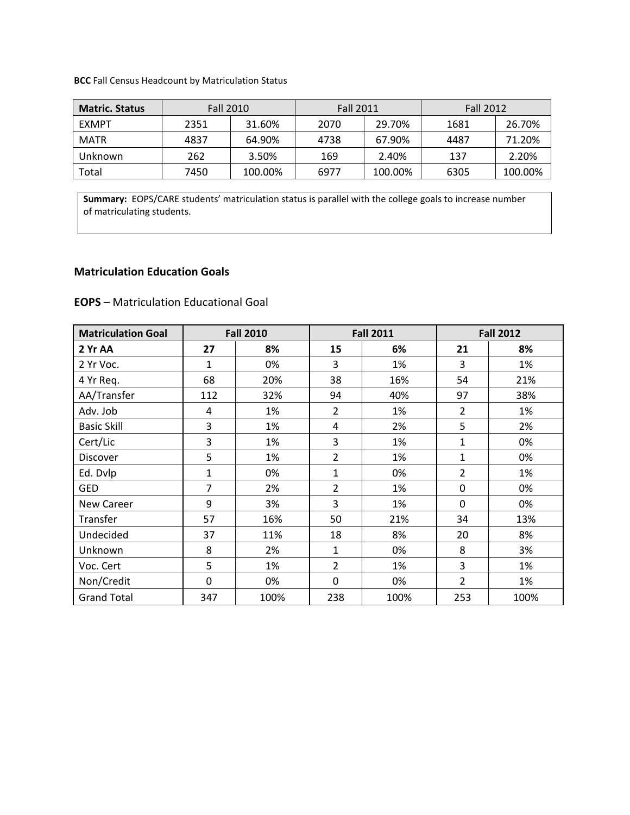**BCC** Fall Census Headcount by Matriculation Status

| <b>Matric. Status</b> | <b>Fall 2010</b> |         | <b>Fall 2011</b> |         | <b>Fall 2012</b> |         |
|-----------------------|------------------|---------|------------------|---------|------------------|---------|
| <b>FXMPT</b>          | 2351             | 31.60%  | 2070             | 29.70%  | 1681             | 26.70%  |
| <b>MATR</b>           | 4837             | 64.90%  | 4738             | 67.90%  | 4487             | 71.20%  |
| Unknown               | 262              | 3.50%   | 169              | 2.40%   | 137              | 2.20%   |
| Total                 | 7450             | 100.00% | 6977             | 100.00% | 6305             | 100.00% |

**Summary:** EOPS/CARE students' matriculation status is parallel with the college goals to increase number of matriculating students.

### **Matriculation Education Goals**

| <b>Matriculation Goal</b> | <b>Fall 2010</b> |      |                | <b>Fall 2011</b> |                | <b>Fall 2012</b> |  |
|---------------------------|------------------|------|----------------|------------------|----------------|------------------|--|
| 2 Yr AA                   | 27               | 8%   | 15             | 6%               | 21             | 8%               |  |
| 2 Yr Voc.                 | $\mathbf{1}$     | 0%   | 3              | 1%               | 3              | 1%               |  |
| 4 Yr Req.                 | 68               | 20%  | 38             | 16%              | 54             | 21%              |  |
| AA/Transfer               | 112              | 32%  | 94             | 40%              | 97             | 38%              |  |
| Adv. Job                  | 4                | 1%   | $\overline{2}$ | 1%               | $\overline{2}$ | 1%               |  |
| <b>Basic Skill</b>        | 3                | 1%   | 4              | 2%               | 5              | 2%               |  |
| Cert/Lic                  | 3                | 1%   | 3              | 1%               | 1              | 0%               |  |
| Discover                  | 5                | 1%   | 2              | 1%               | 1              | 0%               |  |
| Ed. Dvlp                  | $\mathbf{1}$     | 0%   | $\mathbf{1}$   | 0%               | $\overline{2}$ | 1%               |  |
| <b>GED</b>                | $\overline{7}$   | 2%   | $\overline{2}$ | 1%               | 0              | 0%               |  |
| <b>New Career</b>         | 9                | 3%   | 3              | 1%               | 0              | 0%               |  |
| Transfer                  | 57               | 16%  | 50             | 21%              | 34             | 13%              |  |
| Undecided                 | 37               | 11%  | 18             | 8%               | 20             | 8%               |  |
| Unknown                   | 8                | 2%   | 1              | 0%               | 8              | 3%               |  |
| Voc. Cert                 | 5                | 1%   | $\overline{2}$ | 1%               | 3              | 1%               |  |
| Non/Credit                | $\mathbf 0$      | 0%   | $\mathbf 0$    | 0%               | $\overline{2}$ | 1%               |  |
| <b>Grand Total</b>        | 347              | 100% | 238            | 100%             | 253            | 100%             |  |

**EOPS** – Matriculation Educational Goal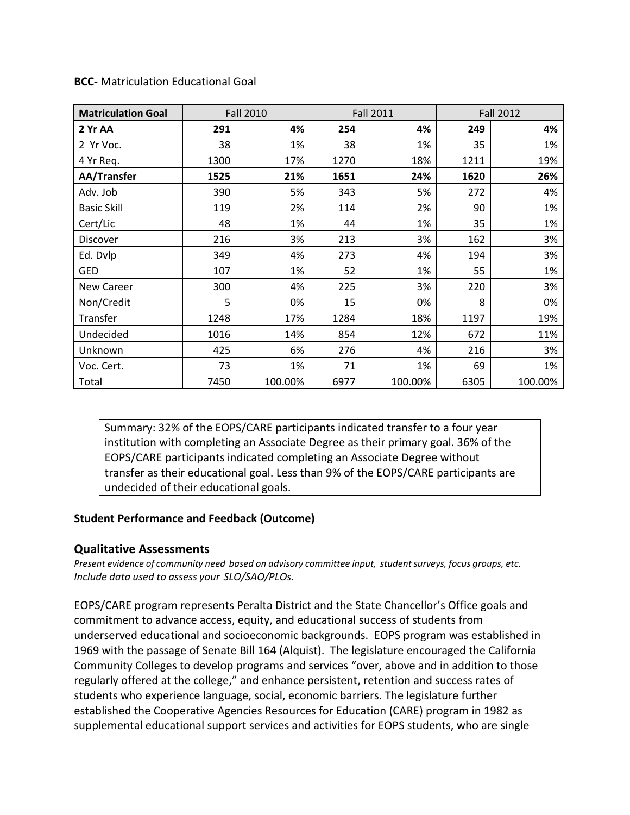| <b>Matriculation Goal</b> |      | <b>Fall 2010</b> |      | <b>Fall 2011</b> |      | <b>Fall 2012</b> |
|---------------------------|------|------------------|------|------------------|------|------------------|
| 2 Yr AA                   | 291  | 4%               | 254  | 4%               | 249  | 4%               |
| 2 Yr Voc.                 | 38   | 1%               | 38   | 1%               | 35   | 1%               |
| 4 Yr Req.                 | 1300 | 17%              | 1270 | 18%              | 1211 | 19%              |
| AA/Transfer               | 1525 | 21%              | 1651 | 24%              | 1620 | 26%              |
| Adv. Job                  | 390  | 5%               | 343  | 5%               | 272  | 4%               |
| <b>Basic Skill</b>        | 119  | 2%               | 114  | 2%               | 90   | 1%               |
| Cert/Lic                  | 48   | 1%               | 44   | 1%               | 35   | 1%               |
| Discover                  | 216  | 3%               | 213  | 3%               | 162  | 3%               |
| Ed. Dvlp                  | 349  | 4%               | 273  | 4%               | 194  | 3%               |
| <b>GED</b>                | 107  | 1%               | 52   | 1%               | 55   | 1%               |
| <b>New Career</b>         | 300  | 4%               | 225  | 3%               | 220  | 3%               |
| Non/Credit                | 5    | 0%               | 15   | 0%               | 8    | 0%               |
| Transfer                  | 1248 | 17%              | 1284 | 18%              | 1197 | 19%              |
| Undecided                 | 1016 | 14%              | 854  | 12%              | 672  | 11%              |
| Unknown                   | 425  | 6%               | 276  | 4%               | 216  | 3%               |
| Voc. Cert.                | 73   | 1%               | 71   | 1%               | 69   | 1%               |
| Total                     | 7450 | 100.00%          | 6977 | 100.00%          | 6305 | 100.00%          |

**BCC-** Matriculation Educational Goal

Summary: 32% of the EOPS/CARE participants indicated transfer to a four year institution with completing an Associate Degree as their primary goal. 36% of the EOPS/CARE participants indicated completing an Associate Degree without transfer as their educational goal. Less than 9% of the EOPS/CARE participants are undecided of their educational goals.

#### **Student Performance and Feedback (Outcome)**

#### **Qualitative Assessments**

*Present evidence of community need based on advisory committee input, studentsurveys, focus groups, etc. Include data used to assess your SLO/SAO/PLOs.* 

EOPS/CARE program represents Peralta District and the State Chancellor's Office goals and commitment to advance access, equity, and educational success of students from underserved educational and socioeconomic backgrounds. EOPS program was established in 1969 with the passage of Senate Bill 164 (Alquist). The legislature encouraged the California Community Colleges to develop programs and services "over, above and in addition to those regularly offered at the college," and enhance persistent, retention and success rates of students who experience language, social, economic barriers. The legislature further established the Cooperative Agencies Resources for Education (CARE) program in 1982 as supplemental educational support services and activities for EOPS students, who are single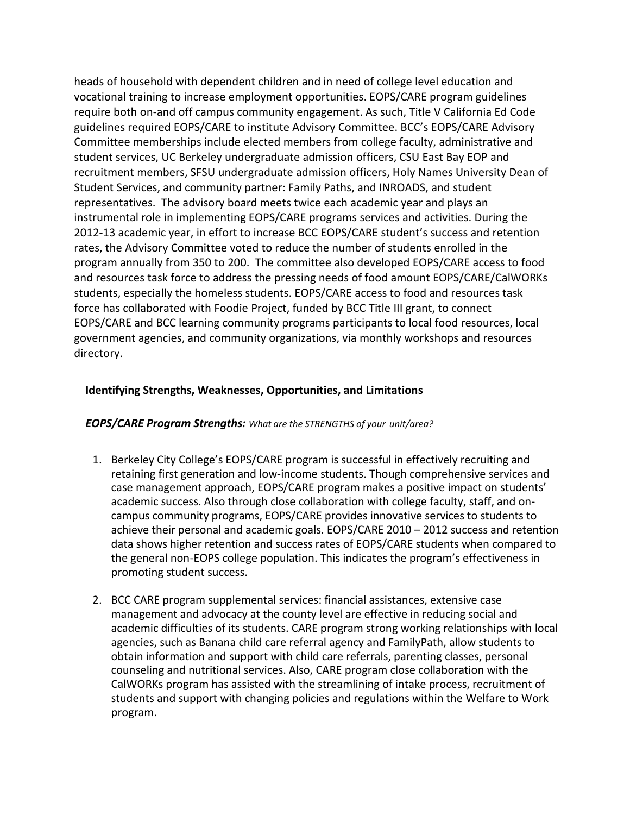heads of household with dependent children and in need of college level education and vocational training to increase employment opportunities. EOPS/CARE program guidelines require both on-and off campus community engagement. As such, Title V California Ed Code guidelines required EOPS/CARE to institute Advisory Committee. BCC's EOPS/CARE Advisory Committee memberships include elected members from college faculty, administrative and student services, UC Berkeley undergraduate admission officers, CSU East Bay EOP and recruitment members, SFSU undergraduate admission officers, Holy Names University Dean of Student Services, and community partner: Family Paths, and INROADS, and student representatives. The advisory board meets twice each academic year and plays an instrumental role in implementing EOPS/CARE programs services and activities. During the 2012-13 academic year, in effort to increase BCC EOPS/CARE student's success and retention rates, the Advisory Committee voted to reduce the number of students enrolled in the program annually from 350 to 200. The committee also developed EOPS/CARE access to food and resources task force to address the pressing needs of food amount EOPS/CARE/CalWORKs students, especially the homeless students. EOPS/CARE access to food and resources task force has collaborated with Foodie Project, funded by BCC Title III grant, to connect EOPS/CARE and BCC learning community programs participants to local food resources, local government agencies, and community organizations, via monthly workshops and resources directory.

### **Identifying Strengths, Weaknesses, Opportunities, and Limitations**

#### *EOPS/CARE Program Strengths: What are the STRENGTHS of your unit/area?*

- 1. Berkeley City College's EOPS/CARE program is successful in effectively recruiting and retaining first generation and low-income students. Though comprehensive services and case management approach, EOPS/CARE program makes a positive impact on students' academic success. Also through close collaboration with college faculty, staff, and oncampus community programs, EOPS/CARE provides innovative services to students to achieve their personal and academic goals. EOPS/CARE 2010 – 2012 success and retention data shows higher retention and success rates of EOPS/CARE students when compared to the general non-EOPS college population. This indicates the program's effectiveness in promoting student success.
- 2. BCC CARE program supplemental services: financial assistances, extensive case management and advocacy at the county level are effective in reducing social and academic difficulties of its students. CARE program strong working relationships with local agencies, such as Banana child care referral agency and FamilyPath, allow students to obtain information and support with child care referrals, parenting classes, personal counseling and nutritional services. Also, CARE program close collaboration with the CalWORKs program has assisted with the streamlining of intake process, recruitment of students and support with changing policies and regulations within the Welfare to Work program.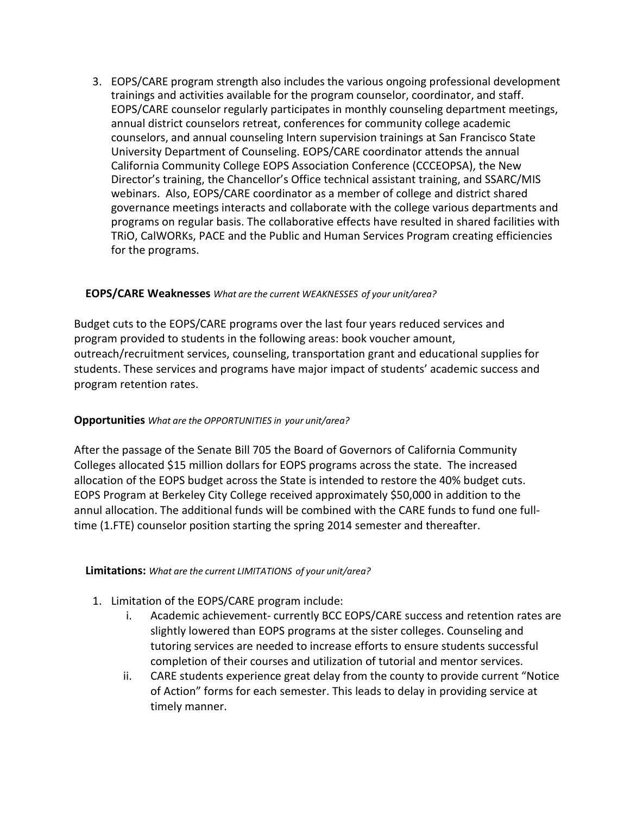3. EOPS/CARE program strength also includes the various ongoing professional development trainings and activities available for the program counselor, coordinator, and staff. EOPS/CARE counselor regularly participates in monthly counseling department meetings, annual district counselors retreat, conferences for community college academic counselors, and annual counseling Intern supervision trainings at San Francisco State University Department of Counseling. EOPS/CARE coordinator attends the annual California Community College EOPS Association Conference (CCCEOPSA), the New Director's training, the Chancellor's Office technical assistant training, and SSARC/MIS webinars. Also, EOPS/CARE coordinator as a member of college and district shared governance meetings interacts and collaborate with the college various departments and programs on regular basis. The collaborative effects have resulted in shared facilities with TRiO, CalWORKs, PACE and the Public and Human Services Program creating efficiencies for the programs.

#### **EOPS/CARE Weaknesses** *What are the current WEAKNESSES of your unit/area?*

Budget cuts to the EOPS/CARE programs over the last four years reduced services and program provided to students in the following areas: book voucher amount, outreach/recruitment services, counseling, transportation grant and educational supplies for students. These services and programs have major impact of students' academic success and program retention rates.

#### **Opportunities** *What are the OPPORTUNITIES in your unit/area?*

After the passage of the Senate Bill 705 the Board of Governors of California Community Colleges allocated \$15 million dollars for EOPS programs across the state. The increased allocation of the EOPS budget across the State is intended to restore the 40% budget cuts. EOPS Program at Berkeley City College received approximately \$50,000 in addition to the annul allocation. The additional funds will be combined with the CARE funds to fund one fulltime (1.FTE) counselor position starting the spring 2014 semester and thereafter.

#### **Limitations:** *What are the current LIMITATIONS of your unit/area?*

- 1. Limitation of the EOPS/CARE program include:
	- i. Academic achievement- currently BCC EOPS/CARE success and retention rates are slightly lowered than EOPS programs at the sister colleges. Counseling and tutoring services are needed to increase efforts to ensure students successful completion of their courses and utilization of tutorial and mentor services.
	- ii. CARE students experience great delay from the county to provide current "Notice of Action" forms for each semester. This leads to delay in providing service at timely manner.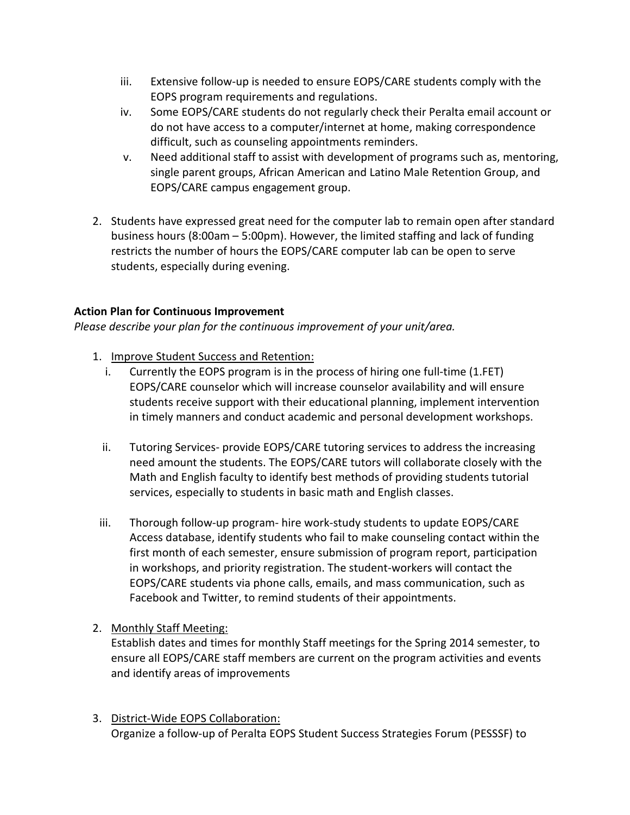- iii. Extensive follow-up is needed to ensure EOPS/CARE students comply with the EOPS program requirements and regulations.
- iv. Some EOPS/CARE students do not regularly check their Peralta email account or do not have access to a computer/internet at home, making correspondence difficult, such as counseling appointments reminders.
- v. Need additional staff to assist with development of programs such as, mentoring, single parent groups, African American and Latino Male Retention Group, and EOPS/CARE campus engagement group.
- 2. Students have expressed great need for the computer lab to remain open after standard business hours (8:00am – 5:00pm). However, the limited staffing and lack of funding restricts the number of hours the EOPS/CARE computer lab can be open to serve students, especially during evening.

## **Action Plan for Continuous Improvement**

*Please describe your plan for the continuous improvement of your unit/area.* 

- 1. Improve Student Success and Retention:
	- i. Currently the EOPS program is in the process of hiring one full-time (1.FET) EOPS/CARE counselor which will increase counselor availability and will ensure students receive support with their educational planning, implement intervention in timely manners and conduct academic and personal development workshops.
	- ii. Tutoring Services- provide EOPS/CARE tutoring services to address the increasing need amount the students. The EOPS/CARE tutors will collaborate closely with the Math and English faculty to identify best methods of providing students tutorial services, especially to students in basic math and English classes.
- iii. Thorough follow-up program- hire work-study students to update EOPS/CARE Access database, identify students who fail to make counseling contact within the first month of each semester, ensure submission of program report, participation in workshops, and priority registration. The student-workers will contact the EOPS/CARE students via phone calls, emails, and mass communication, such as Facebook and Twitter, to remind students of their appointments.
- 2. Monthly Staff Meeting:

Establish dates and times for monthly Staff meetings for the Spring 2014 semester, to ensure all EOPS/CARE staff members are current on the program activities and events and identify areas of improvements

3. District-Wide EOPS Collaboration: Organize a follow-up of Peralta EOPS Student Success Strategies Forum (PESSSF) to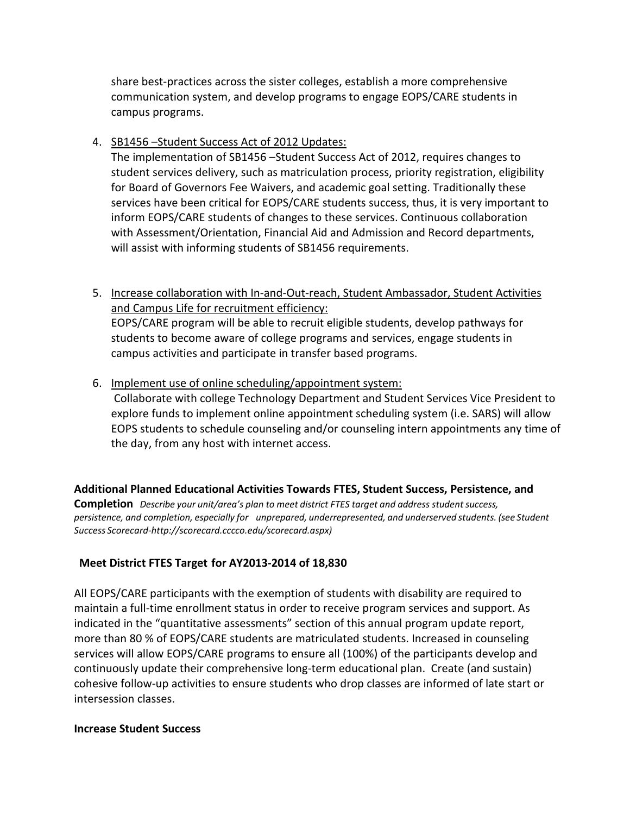share best-practices across the sister colleges, establish a more comprehensive communication system, and develop programs to engage EOPS/CARE students in campus programs.

4. SB1456 –Student Success Act of 2012 Updates:

The implementation of SB1456 –Student Success Act of 2012, requires changes to student services delivery, such as matriculation process, priority registration, eligibility for Board of Governors Fee Waivers, and academic goal setting. Traditionally these services have been critical for EOPS/CARE students success, thus, it is very important to inform EOPS/CARE students of changes to these services. Continuous collaboration with Assessment/Orientation, Financial Aid and Admission and Record departments, will assist with informing students of SB1456 requirements.

- 5. Increase collaboration with In-and-Out-reach, Student Ambassador, Student Activities and Campus Life for recruitment efficiency: EOPS/CARE program will be able to recruit eligible students, develop pathways for students to become aware of college programs and services, engage students in campus activities and participate in transfer based programs.
- 6. Implement use of online scheduling/appointment system: Collaborate with college Technology Department and Student Services Vice President to explore funds to implement online appointment scheduling system (i.e. SARS) will allow EOPS students to schedule counseling and/or counseling intern appointments any time of the day, from any host with internet access.

**Additional Planned Educational Activities Towards FTES, Student Success, Persistence, and Completion** *Describe your unit/area's plan to meet district FTES target and address student success, persistence, and completion, especially for unprepared, underrepresented, and underserved students. (see Student Success Scorecard[-http://scorecard.cccco.edu/scorecard.aspx\)](http://scorecard.cccco.edu/scorecard.aspx))*

## **Meet District FTES Target for AY2013-2014 of 18,830**

All EOPS/CARE participants with the exemption of students with disability are required to maintain a full-time enrollment status in order to receive program services and support. As indicated in the "quantitative assessments" section of this annual program update report, more than 80 % of EOPS/CARE students are matriculated students. Increased in counseling services will allow EOPS/CARE programs to ensure all (100%) of the participants develop and continuously update their comprehensive long-term educational plan. Create (and sustain) cohesive follow-up activities to ensure students who drop classes are informed of late start or intersession classes.

#### **Increase Student Success**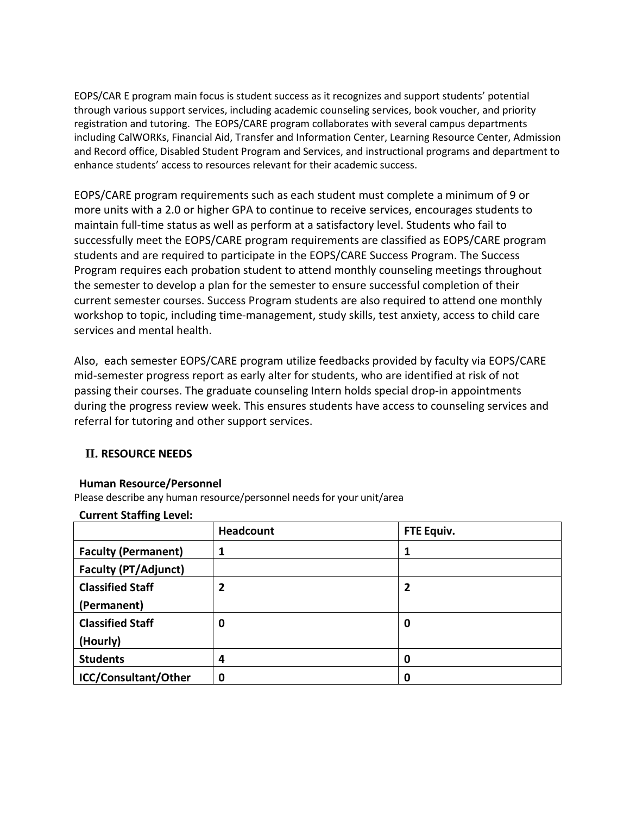EOPS/CAR E program main focus is student success as it recognizes and support students' potential through various support services, including academic counseling services, book voucher, and priority registration and tutoring. The EOPS/CARE program collaborates with several campus departments including CalWORKs, Financial Aid, Transfer and Information Center, Learning Resource Center, Admission and Record office, Disabled Student Program and Services, and instructional programs and department to enhance students' access to resources relevant for their academic success.

EOPS/CARE program requirements such as each student must complete a minimum of 9 or more units with a 2.0 or higher GPA to continue to receive services, encourages students to maintain full-time status as well as perform at a satisfactory level. Students who fail to successfully meet the EOPS/CARE program requirements are classified as EOPS/CARE program students and are required to participate in the EOPS/CARE Success Program. The Success Program requires each probation student to attend monthly counseling meetings throughout the semester to develop a plan for the semester to ensure successful completion of their current semester courses. Success Program students are also required to attend one monthly workshop to topic, including time-management, study skills, test anxiety, access to child care services and mental health.

Also, each semester EOPS/CARE program utilize feedbacks provided by faculty via EOPS/CARE mid-semester progress report as early alter for students, who are identified at risk of not passing their courses. The graduate counseling Intern holds special drop-in appointments during the progress review week. This ensures students have access to counseling services and referral for tutoring and other support services.

## **II. RESOURCE NEEDS**

#### **Human Resource/Personnel**

Please describe any human resource/personnel needs for your unit/area

#### **Current Staffing Level:**

|                             | <b>Headcount</b> | FTE Equiv. |
|-----------------------------|------------------|------------|
| <b>Faculty (Permanent)</b>  | 1                |            |
| <b>Faculty (PT/Adjunct)</b> |                  |            |
| <b>Classified Staff</b>     | 2                |            |
| (Permanent)                 |                  |            |
| <b>Classified Staff</b>     | 0                | 0          |
| (Hourly)                    |                  |            |
| <b>Students</b>             | 4                | 0          |
| ICC/Consultant/Other        | 0                | 0          |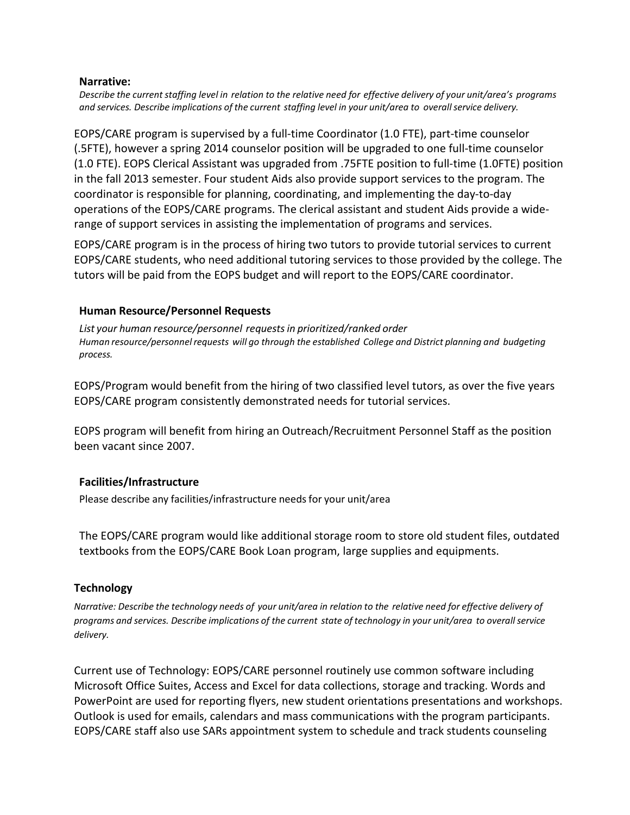#### **Narrative:**

Describe the current staffing level in relation to the relative need for effective delivery of your unit/area's programs *and services. Describe implications of the current staffing level in your unit/area to overallservice delivery.*

EOPS/CARE program is supervised by a full-time Coordinator (1.0 FTE), part-time counselor (.5FTE), however a spring 2014 counselor position will be upgraded to one full-time counselor (1.0 FTE). EOPS Clerical Assistant was upgraded from .75FTE position to full-time (1.0FTE) position in the fall 2013 semester. Four student Aids also provide support services to the program. The coordinator is responsible for planning, coordinating, and implementing the day-to-day operations of the EOPS/CARE programs. The clerical assistant and student Aids provide a widerange of support services in assisting the implementation of programs and services.

EOPS/CARE program is in the process of hiring two tutors to provide tutorial services to current EOPS/CARE students, who need additional tutoring services to those provided by the college. The tutors will be paid from the EOPS budget and will report to the EOPS/CARE coordinator.

### **Human Resource/Personnel Requests**

*List your human resource/personnel requestsin prioritized/ranked order Human resource/personnelrequests will go through the established College and District planning and budgeting process.*

EOPS/Program would benefit from the hiring of two classified level tutors, as over the five years EOPS/CARE program consistently demonstrated needs for tutorial services.

EOPS program will benefit from hiring an Outreach/Recruitment Personnel Staff as the position been vacant since 2007.

## **Facilities/Infrastructure**

Please describe any facilities/infrastructure needs for your unit/area

The EOPS/CARE program would like additional storage room to store old student files, outdated textbooks from the EOPS/CARE Book Loan program, large supplies and equipments.

## **Technology**

Narrative: Describe the technology needs of your unit/area in relation to the relative need for effective delivery of programs and services. Describe implications of the current state of technology in your unit/area to overall service *delivery.* 

Current use of Technology: EOPS/CARE personnel routinely use common software including Microsoft Office Suites, Access and Excel for data collections, storage and tracking. Words and PowerPoint are used for reporting flyers, new student orientations presentations and workshops. Outlook is used for emails, calendars and mass communications with the program participants. EOPS/CARE staff also use SARs appointment system to schedule and track students counseling